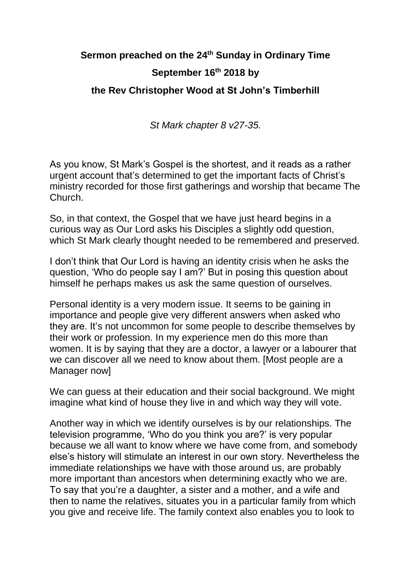## **Sermon preached on the 24th Sunday in Ordinary Time September 16th 2018 by the Rev Christopher Wood at St John's Timberhill**

*St Mark chapter 8 v27-35.*

As you know, St Mark's Gospel is the shortest, and it reads as a rather urgent account that's determined to get the important facts of Christ's ministry recorded for those first gatherings and worship that became The Church.

So, in that context, the Gospel that we have just heard begins in a curious way as Our Lord asks his Disciples a slightly odd question, which St Mark clearly thought needed to be remembered and preserved.

I don't think that Our Lord is having an identity crisis when he asks the question, 'Who do people say I am?' But in posing this question about himself he perhaps makes us ask the same question of ourselves.

Personal identity is a very modern issue. It seems to be gaining in importance and people give very different answers when asked who they are. It's not uncommon for some people to describe themselves by their work or profession. In my experience men do this more than women. It is by saying that they are a doctor, a lawyer or a labourer that we can discover all we need to know about them. [Most people are a Manager now]

We can guess at their education and their social background. We might imagine what kind of house they live in and which way they will vote.

Another way in which we identify ourselves is by our relationships. The television programme, 'Who do you think you are?' is very popular because we all want to know where we have come from, and somebody else's history will stimulate an interest in our own story. Nevertheless the immediate relationships we have with those around us, are probably more important than ancestors when determining exactly who we are. To say that you're a daughter, a sister and a mother, and a wife and then to name the relatives, situates you in a particular family from which you give and receive life. The family context also enables you to look to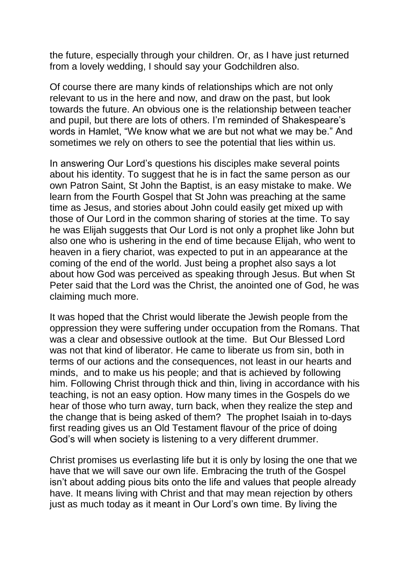the future, especially through your children. Or, as I have just returned from a lovely wedding, I should say your Godchildren also.

Of course there are many kinds of relationships which are not only relevant to us in the here and now, and draw on the past, but look towards the future. An obvious one is the relationship between teacher and pupil, but there are lots of others. I'm reminded of Shakespeare's words in Hamlet, "We know what we are but not what we may be." And sometimes we rely on others to see the potential that lies within us.

In answering Our Lord's questions his disciples make several points about his identity. To suggest that he is in fact the same person as our own Patron Saint, St John the Baptist, is an easy mistake to make. We learn from the Fourth Gospel that St John was preaching at the same time as Jesus, and stories about John could easily get mixed up with those of Our Lord in the common sharing of stories at the time. To say he was Elijah suggests that Our Lord is not only a prophet like John but also one who is ushering in the end of time because Elijah, who went to heaven in a fiery chariot, was expected to put in an appearance at the coming of the end of the world. Just being a prophet also says a lot about how God was perceived as speaking through Jesus. But when St Peter said that the Lord was the Christ, the anointed one of God, he was claiming much more.

It was hoped that the Christ would liberate the Jewish people from the oppression they were suffering under occupation from the Romans. That was a clear and obsessive outlook at the time. But Our Blessed Lord was not that kind of liberator. He came to liberate us from sin, both in terms of our actions and the consequences, not least in our hearts and minds, and to make us his people; and that is achieved by following him. Following Christ through thick and thin, living in accordance with his teaching, is not an easy option. How many times in the Gospels do we hear of those who turn away, turn back, when they realize the step and the change that is being asked of them? The prophet Isaiah in to-days first reading gives us an Old Testament flavour of the price of doing God's will when society is listening to a very different drummer.

Christ promises us everlasting life but it is only by losing the one that we have that we will save our own life. Embracing the truth of the Gospel isn't about adding pious bits onto the life and values that people already have. It means living with Christ and that may mean rejection by others just as much today as it meant in Our Lord's own time. By living the